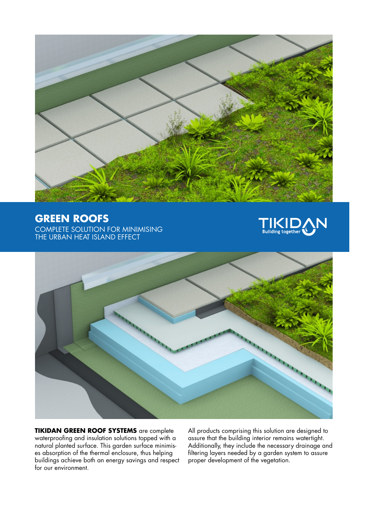

## **GREEN ROOFS**

COMPLETE SOLUTION FOR MINIMISING THE URBAN HEAT ISLAND EFFECT





**TIKIDAN GREEN ROOF SYSTEMS** are complete waterproofing and insulation solutions topped with a natural planted surface. This garden surface minimises absorption of the thermal enclosure, thus helping buildings achieve both an energy savings and respect for our environment.

All products comprising this solution are designed to assure that the building interior remains watertight. Additionally, they include the necessary drainage and filtering layers needed by a garden system to assure proper development of the vegetation.